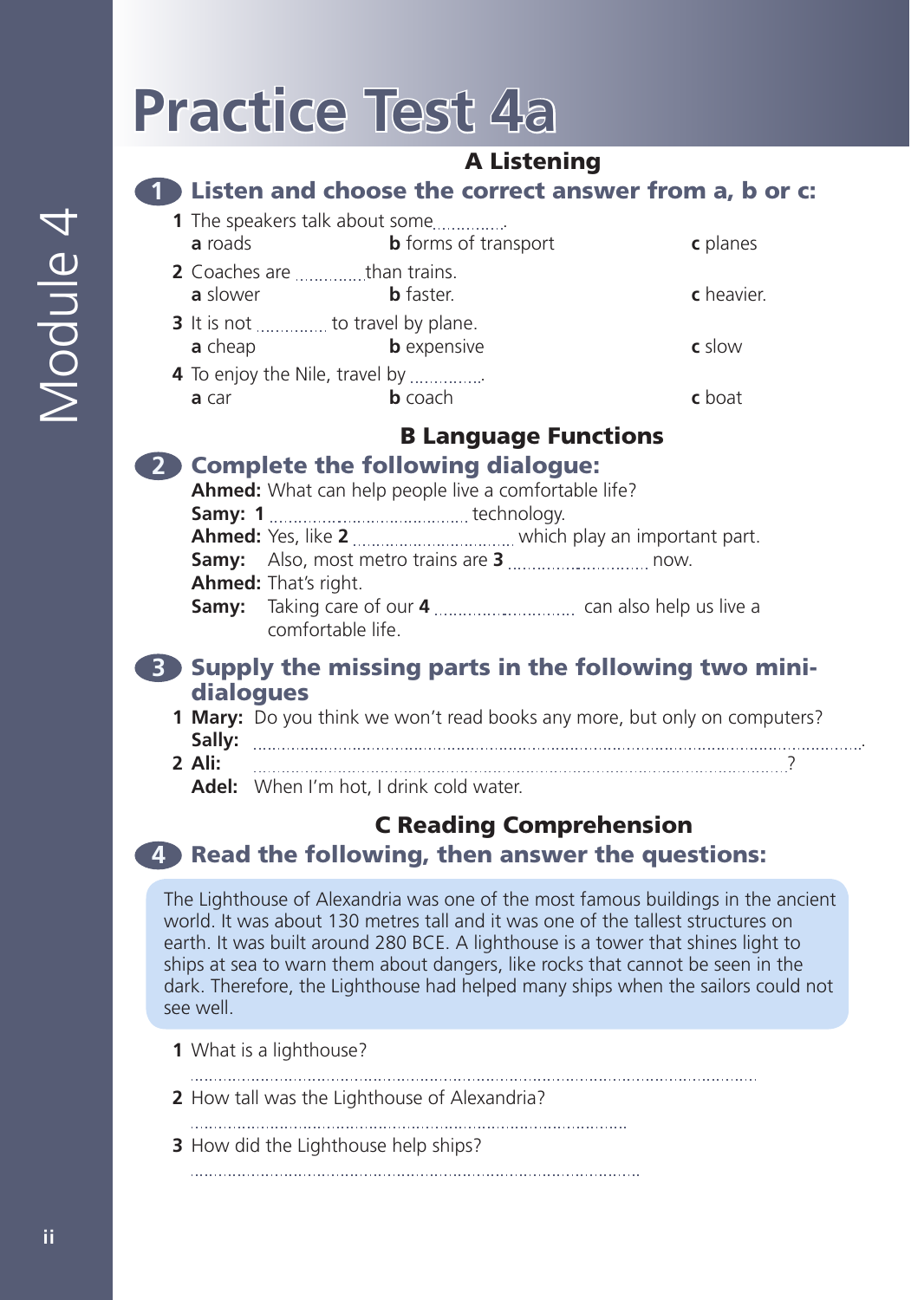# **Practice Test 4a**

### A Listening

**1** Listen and choose the correct answer from a, b or c:

| <b>1</b> The speakers talk about some |                             |                 |
|---------------------------------------|-----------------------------|-----------------|
| a roads                               | <b>b</b> forms of transport | c planes        |
| 2 Coaches are than trains.            |                             |                 |
| a slower                              | <b>b</b> faster.            | c heavier.      |
| 3 It is not  to travel by plane.      |                             |                 |
| a cheap                               | <b>b</b> expensive          | c slow          |
| 4 To enjoy the Nile, travel by        |                             |                 |
| a car                                 | <b>b</b> coach              | $\epsilon$ hoat |

## B Language Functions

| <b>Complete the following dialogue:</b> |                                                      |                                                                                     |  |  |  |  |
|-----------------------------------------|------------------------------------------------------|-------------------------------------------------------------------------------------|--|--|--|--|
|                                         | Ahmed: What can help people live a comfortable life? |                                                                                     |  |  |  |  |
|                                         |                                                      |                                                                                     |  |  |  |  |
|                                         |                                                      | <b>Ahmed:</b> Yes, like <b>2</b> <i>manuarrammana which play an important part.</i> |  |  |  |  |
|                                         |                                                      |                                                                                     |  |  |  |  |
|                                         | Ahmed: That's right.                                 |                                                                                     |  |  |  |  |
|                                         |                                                      |                                                                                     |  |  |  |  |
|                                         | comfortable life.                                    |                                                                                     |  |  |  |  |

### **3** Supply the missing parts in the following two minidialogues

|        | <b>1 Mary:</b> Do you think we won't read books any more, but only on computers? |
|--------|----------------------------------------------------------------------------------|
|        |                                                                                  |
| 2 Ali: |                                                                                  |
|        | <b>Adel:</b> When I'm hot, I drink cold water.                                   |

### C Reading Comprehension **4** Read the following, then answer the questions:

The Lighthouse of Alexandria was one of the most famous buildings in the ancient world. It was about 130 metres tall and it was one of the tallest structures on earth. It was built around 280 BCE. A lighthouse is a tower that shines light to ships at sea to warn them about dangers, like rocks that cannot be seen in the dark. Therefore, the Lighthouse had helped many ships when the sailors could not see well.

**1** What is a lighthouse?

- **2** How tall was the Lighthouse of Alexandria?
- 
- **3** How did the Lighthouse help ships?
	-